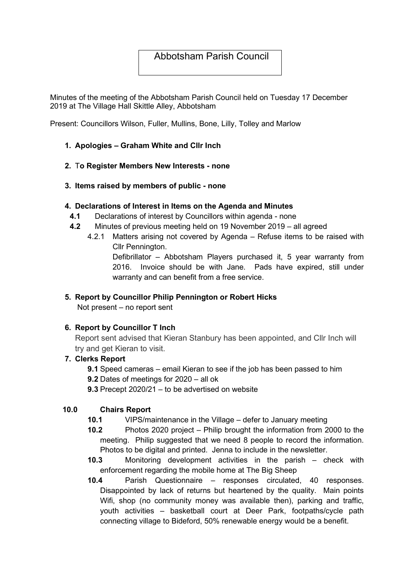# Abbotsham Parish Council

Minutes of the meeting of the Abbotsham Parish Council held on Tuesday 17 December 2019 at The Village Hall Skittle Alley, Abbotsham

Present: Councillors Wilson, Fuller, Mullins, Bone, Lilly, Tolley and Marlow

- 1. Apologies Graham White and Cllr Inch
- 2. To Register Members New Interests none
- 3. Items raised by members of public none

#### 4. Declarations of Interest in Items on the Agenda and Minutes

- 4.1 Declarations of interest by Councillors within agenda none
- 4.2 Minutes of previous meeting held on 19 November 2019 all agreed
	- 4.2.1 Matters arising not covered by Agenda Refuse items to be raised with Cllr Pennington.

Defibrillator – Abbotsham Players purchased it, 5 year warranty from 2016. Invoice should be with Jane. Pads have expired, still under warranty and can benefit from a free service.

### 5. Report by Councillor Philip Pennington or Robert Hicks

Not present – no report sent

## 6. Report by Councillor T Inch

Report sent advised that Kieran Stanbury has been appointed, and Cllr Inch will try and get Kieran to visit.

## 7. Clerks Report

- 9.1 Speed cameras email Kieran to see if the job has been passed to him
- 9.2 Dates of meetings for 2020 all ok
- 9.3 Precept 2020/21 to be advertised on website

#### 10.0 Chairs Report

- 10.1 VIPS/maintenance in the Village defer to January meeting
- 10.2 Photos 2020 project Philip brought the information from 2000 to the meeting. Philip suggested that we need 8 people to record the information. Photos to be digital and printed. Jenna to include in the newsletter.
- 10.3 Monitoring development activities in the parish check with enforcement regarding the mobile home at The Big Sheep
- 10.4 Parish Questionnaire responses circulated, 40 responses. Disappointed by lack of returns but heartened by the quality. Main points Wifi, shop (no community money was available then), parking and traffic, youth activities – basketball court at Deer Park, footpaths/cycle path connecting village to Bideford, 50% renewable energy would be a benefit.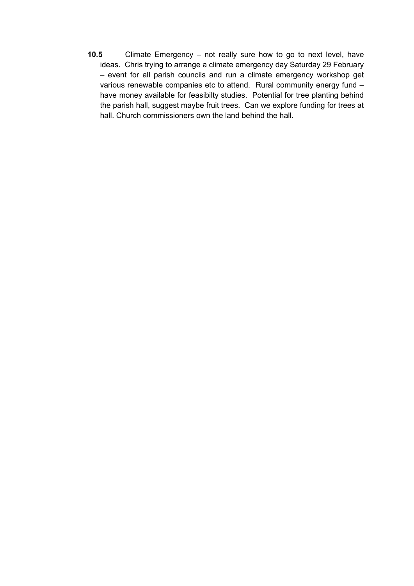10.5 Climate Emergency – not really sure how to go to next level, have ideas. Chris trying to arrange a climate emergency day Saturday 29 February – event for all parish councils and run a climate emergency workshop get various renewable companies etc to attend. Rural community energy fund – have money available for feasibilty studies. Potential for tree planting behind the parish hall, suggest maybe fruit trees. Can we explore funding for trees at hall. Church commissioners own the land behind the hall.